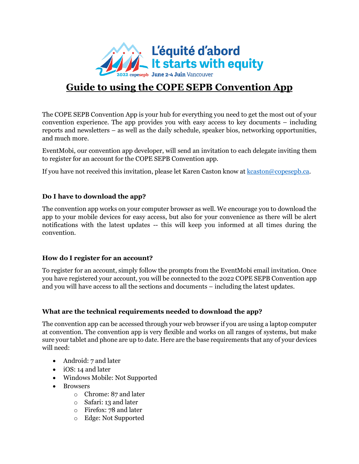

# **Guide to using the COPE SEPB Convention App**

The COPE SEPB Convention App is your hub for everything you need to get the most out of your convention experience. The app provides you with easy access to key documents – including reports and newsletters – as well as the daily schedule, speaker bios, networking opportunities, and much more.

EventMobi, our convention app developer, will send an invitation to each delegate inviting them to register for an account for the COPE SEPB Convention app.

If you have not received this invitation, please let Karen Caston know at [kcaston@copesepb.ca.](mailto:kcaston@copesepb.ca)

## **Do I have to download the app?**

The convention app works on your computer browser as well. We encourage you to download the app to your mobile devices for easy access, but also for your convenience as there will be alert notifications with the latest updates -- this will keep you informed at all times during the convention.

## **How do I register for an account?**

To register for an account, simply follow the prompts from the EventMobi email invitation. Once you have registered your account, you will be connected to the 2022 COPE SEPB Convention app and you will have access to all the sections and documents – including the latest updates.

## **What are the technical requirements needed to download the app?**

The convention app can be accessed through your web browser if you are using a laptop computer at convention. The convention app is very flexible and works on all ranges of systems, but make sure your tablet and phone are up to date. Here are the base requirements that any of your devices will need:

- Android: 7 and later
- iOS: 14 and later
- Windows Mobile: Not Supported
- Browsers
	- o Chrome: 87 and later
	- o Safari: 13 and later
	- o Firefox: 78 and later
	- o Edge: Not Supported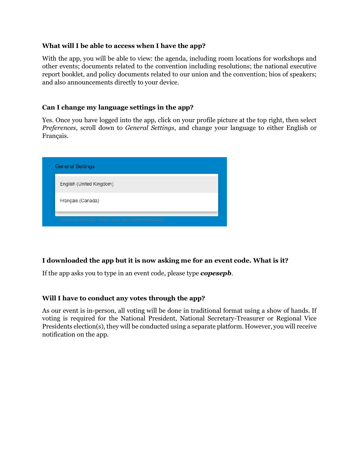#### **What will I be able to access when I have the app?**

With the app, you will be able to view: the agenda, including room locations for workshops and other events; documents related to the convention including resolutions; the national executive report booklet, and policy documents related to our union and the convention; bios of speakers; and also announcements directly to your device.

### **Can I change my language settings in the app?**

Yes. Once you have logged into the app, click on your profile picture at the top right, then select *Preferences*, scroll down to *General Settings*, and change your language to either English or Français.

| <b>General Settings</b>                                |
|--------------------------------------------------------|
| English (United Kingdom)                               |
| Français (Canada)                                      |
| Timezone detected. Please save your preferred timezone |

#### **I downloaded the app but it is now asking me for an event code. What is it?**

If the app asks you to type in an event code, please type *copesepb*.

#### **Will I have to conduct any votes through the app?**

As our event is in-person, all voting will be done in traditional format using a show of hands. If voting is required for the National President, National Secretary-Treasurer or Regional Vice Presidents election(s), they will be conducted using a separate platform. However, you will receive notification on the app.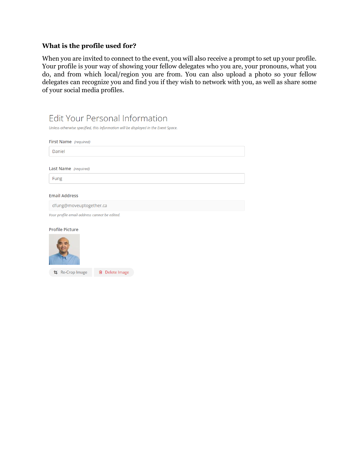## **What is the profile used for?**

When you are invited to connect to the event, you will also receive a prompt to set up your profile. Your profile is your way of showing your fellow delegates who you are, your pronouns, what you do, and from which local/region you are from. You can also upload a photo so your fellow delegates can recognize you and find you if they wish to network with you, as well as share some of your social media profiles.

| <b>Edit Your Personal Information</b>                                              |  |  |
|------------------------------------------------------------------------------------|--|--|
| Unless otherwise specified, this information will be displayed in the Event Space. |  |  |
| First Name (required)                                                              |  |  |
| Daniel                                                                             |  |  |
| Last Name (required)                                                               |  |  |
| Fung                                                                               |  |  |
| <b>Email Address</b>                                                               |  |  |
| dfung@moveuptogether.ca                                                            |  |  |
| Your profile email address cannot be edited.                                       |  |  |
| <b>Profile Picture</b>                                                             |  |  |
|                                                                                    |  |  |
| Delete Image<br>Re-Crop Image<br>勔                                                 |  |  |